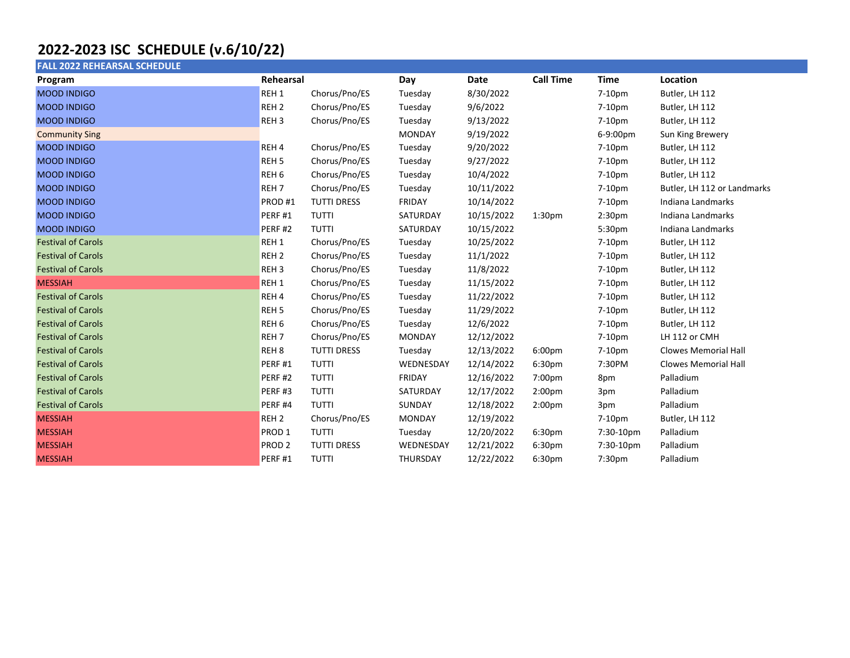## 2022-2023 ISC SCHEDULE (v.6/10/22)

| <b>FALL 2022 REHEARSAL SCHEDULE</b> |                    |                    |               |            |                    |                    |                             |
|-------------------------------------|--------------------|--------------------|---------------|------------|--------------------|--------------------|-----------------------------|
| Program                             | Rehearsal          |                    | Day           | Date       | <b>Call Time</b>   | <b>Time</b>        | Location                    |
| <b>MOOD INDIGO</b>                  | REH <sub>1</sub>   | Chorus/Pno/ES      | Tuesday       | 8/30/2022  |                    | 7-10pm             | Butler, LH 112              |
| <b>MOOD INDIGO</b>                  | REH <sub>2</sub>   | Chorus/Pno/ES      | Tuesday       | 9/6/2022   |                    | 7-10pm             | Butler, LH 112              |
| <b>MOOD INDIGO</b>                  | REH <sub>3</sub>   | Chorus/Pno/ES      | Tuesday       | 9/13/2022  |                    | 7-10pm             | Butler, LH 112              |
| <b>Community Sing</b>               |                    |                    | <b>MONDAY</b> | 9/19/2022  |                    | 6-9:00pm           | Sun King Brewery            |
| <b>MOOD INDIGO</b>                  | REH <sub>4</sub>   | Chorus/Pno/ES      | Tuesday       | 9/20/2022  |                    | 7-10pm             | Butler, LH 112              |
| <b>MOOD INDIGO</b>                  | REH <sub>5</sub>   | Chorus/Pno/ES      | Tuesday       | 9/27/2022  |                    | 7-10pm             | Butler, LH 112              |
| <b>MOOD INDIGO</b>                  | REH <sub>6</sub>   | Chorus/Pno/ES      | Tuesday       | 10/4/2022  |                    | 7-10pm             | Butler, LH 112              |
| <b>MOOD INDIGO</b>                  | REH <sub>7</sub>   | Chorus/Pno/ES      | Tuesday       | 10/11/2022 |                    | 7-10pm             | Butler, LH 112 or Landmarks |
| <b>MOOD INDIGO</b>                  | PROD#1             | <b>TUTTI DRESS</b> | <b>FRIDAY</b> | 10/14/2022 |                    | 7-10pm             | Indiana Landmarks           |
| <b>MOOD INDIGO</b>                  | PERF#1             | <b>TUTTI</b>       | SATURDAY      | 10/15/2022 | 1:30 <sub>pm</sub> | 2:30 <sub>pm</sub> | Indiana Landmarks           |
| <b>MOOD INDIGO</b>                  | PERF <sub>#2</sub> | <b>TUTTI</b>       | SATURDAY      | 10/15/2022 |                    | 5:30 <sub>pm</sub> | Indiana Landmarks           |
| <b>Festival of Carols</b>           | REH <sub>1</sub>   | Chorus/Pno/ES      | Tuesday       | 10/25/2022 |                    | 7-10pm             | Butler, LH 112              |
| <b>Festival of Carols</b>           | REH <sub>2</sub>   | Chorus/Pno/ES      | Tuesday       | 11/1/2022  |                    | 7-10pm             | Butler, LH 112              |
| <b>Festival of Carols</b>           | REH <sub>3</sub>   | Chorus/Pno/ES      | Tuesday       | 11/8/2022  |                    | 7-10pm             | Butler, LH 112              |
| <b>MESSIAH</b>                      | REH <sub>1</sub>   | Chorus/Pno/ES      | Tuesday       | 11/15/2022 |                    | 7-10pm             | Butler, LH 112              |
| <b>Festival of Carols</b>           | REH <sub>4</sub>   | Chorus/Pno/ES      | Tuesday       | 11/22/2022 |                    | 7-10pm             | Butler, LH 112              |
| <b>Festival of Carols</b>           | REH <sub>5</sub>   | Chorus/Pno/ES      | Tuesday       | 11/29/2022 |                    | 7-10pm             | Butler, LH 112              |
| <b>Festival of Carols</b>           | REH <sub>6</sub>   | Chorus/Pno/ES      | Tuesday       | 12/6/2022  |                    | 7-10pm             | Butler, LH 112              |
| <b>Festival of Carols</b>           | REH <sub>7</sub>   | Chorus/Pno/ES      | <b>MONDAY</b> | 12/12/2022 |                    | 7-10pm             | LH 112 or CMH               |
| <b>Festival of Carols</b>           | REH <sub>8</sub>   | <b>TUTTI DRESS</b> | Tuesday       | 12/13/2022 | 6:00pm             | 7-10pm             | <b>Clowes Memorial Hall</b> |
| <b>Festival of Carols</b>           | PERF#1             | <b>TUTTI</b>       | WEDNESDAY     | 12/14/2022 | 6:30pm             | 7:30PM             | <b>Clowes Memorial Hall</b> |
| <b>Festival of Carols</b>           | PERF#2             | <b>TUTTI</b>       | <b>FRIDAY</b> | 12/16/2022 | 7:00pm             | 8pm                | Palladium                   |
| <b>Festival of Carols</b>           | PERF#3             | <b>TUTTI</b>       | SATURDAY      | 12/17/2022 | 2:00pm             | 3pm                | Palladium                   |
| <b>Festival of Carols</b>           | PERF#4             | <b>TUTTI</b>       | SUNDAY        | 12/18/2022 | 2:00 <sub>pm</sub> | 3pm                | Palladium                   |
| <b>MESSIAH</b>                      | REH <sub>2</sub>   | Chorus/Pno/ES      | <b>MONDAY</b> | 12/19/2022 |                    | 7-10pm             | Butler, LH 112              |
| <b>MESSIAH</b>                      | PROD <sub>1</sub>  | <b>TUTTI</b>       | Tuesday       | 12/20/2022 | 6:30pm             | 7:30-10pm          | Palladium                   |
| <b>MESSIAH</b>                      | PROD <sub>2</sub>  | <b>TUTTI DRESS</b> | WEDNESDAY     | 12/21/2022 | 6:30 <sub>pm</sub> | 7:30-10pm          | Palladium                   |
| <b>MESSIAH</b>                      | PERF#1             | <b>TUTTI</b>       | THURSDAY      | 12/22/2022 | 6:30pm             | 7:30pm             | Palladium                   |